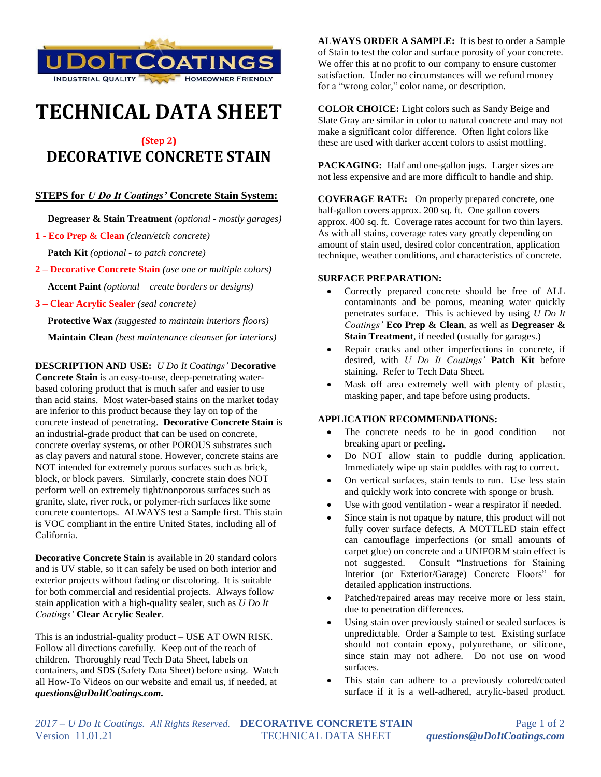

# **TECHNICAL DATA SHEET**

## **(Step 2) DECORATIVE CONCRETE STAIN**

### **STEPS for** *U Do It Coatings'* **Concrete Stain System:**

 **Degreaser & Stain Treatment** *(optional - mostly garages)*

- **1 - Eco Prep & Clean** *(clean/etch concrete)*  **Patch Kit** *(optional - to patch concrete)*
- **2 – Decorative Concrete Stain** *(use one or multiple colors)*  **Accent Paint** *(optional – create borders or designs)*
- **3 – Clear Acrylic Sealer** *(seal concrete)*

 **Protective Wax** *(suggested to maintain interiors floors)*  **Maintain Clean** *(best maintenance cleanser for interiors)*

**DESCRIPTION AND USE:** *U Do It Coatings'* **Decorative Concrete Stain** is an easy-to-use, deep-penetrating waterbased coloring product that is much safer and easier to use than acid stains. Most water-based stains on the market today are inferior to this product because they lay on top of the concrete instead of penetrating. **Decorative Concrete Stain** is an industrial-grade product that can be used on concrete, concrete overlay systems, or other POROUS substrates such as clay pavers and natural stone. However, concrete stains are NOT intended for extremely porous surfaces such as brick, block, or block pavers. Similarly, concrete stain does NOT perform well on extremely tight/nonporous surfaces such as granite, slate, river rock, or polymer-rich surfaces like some concrete countertops. ALWAYS test a Sample first. This stain is VOC compliant in the entire United States, including all of California.

**Decorative Concrete Stain** is available in 20 standard colors and is UV stable, so it can safely be used on both interior and exterior projects without fading or discoloring. It is suitable for both commercial and residential projects. Always follow stain application with a high-quality sealer, such as *U Do It Coatings'* **Clear Acrylic Sealer**.

This is an industrial-quality product – USE AT OWN RISK. Follow all directions carefully. Keep out of the reach of children. Thoroughly read Tech Data Sheet, labels on containers, and SDS (Safety Data Sheet) before using. Watch all How-To Videos on our website and email us, if needed, at *questions@uDoItCoatings.com.*

**ALWAYS ORDER A SAMPLE:** It is best to order a Sample of Stain to test the color and surface porosity of your concrete. We offer this at no profit to our company to ensure customer satisfaction. Under no circumstances will we refund money for a "wrong color," color name, or description.

**COLOR CHOICE:** Light colors such as Sandy Beige and Slate Gray are similar in color to natural concrete and may not make a significant color difference. Often light colors like these are used with darker accent colors to assist mottling.

**PACKAGING:** Half and one-gallon jugs. Larger sizes are not less expensive and are more difficult to handle and ship.

**COVERAGE RATE:** On properly prepared concrete, one half-gallon covers approx. 200 sq. ft. One gallon covers approx. 400 sq. ft. Coverage rates account for two thin layers. As with all stains, coverage rates vary greatly depending on amount of stain used, desired color concentration, application technique, weather conditions, and characteristics of concrete.

#### **SURFACE PREPARATION:**

- Correctly prepared concrete should be free of ALL contaminants and be porous, meaning water quickly penetrates surface. This is achieved by using *U Do It Coatings'* **Eco Prep & Clean**, as well as **Degreaser & Stain Treatment**, if needed (usually for garages.)
- Repair cracks and other imperfections in concrete, if desired, with *U Do It Coatings'* **Patch Kit** before staining. Refer to Tech Data Sheet.
- Mask off area extremely well with plenty of plastic, masking paper, and tape before using products.

#### **APPLICATION RECOMMENDATIONS:**

- The concrete needs to be in good condition  $-$  not breaking apart or peeling.
- Do NOT allow stain to puddle during application. Immediately wipe up stain puddles with rag to correct.
- On vertical surfaces, stain tends to run. Use less stain and quickly work into concrete with sponge or brush.
- Use with good ventilation wear a respirator if needed.
- Since stain is not opaque by nature, this product will not fully cover surface defects. A MOTTLED stain effect can camouflage imperfections (or small amounts of carpet glue) on concrete and a UNIFORM stain effect is not suggested. Consult "Instructions for Staining Interior (or Exterior/Garage) Concrete Floors" for detailed application instructions.
- Patched/repaired areas may receive more or less stain, due to penetration differences.
- Using stain over previously stained or sealed surfaces is unpredictable. Order a Sample to test. Existing surface should not contain epoxy, polyurethane, or silicone, since stain may not adhere. Do not use on wood surfaces.
- This stain can adhere to a previously colored/coated surface if it is a well-adhered, acrylic-based product.

*2017 – U Do It Coatings. All Rights Reserved.* **DECORATIVE CONCRETE STAIN** Page 1 of 2 Version 11.01.21 TECHNICAL DATA SHEET *questions@uDoItCoatings.com*